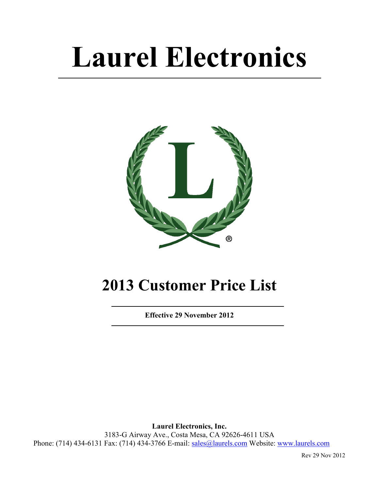# **Laurel Electronics**



# **2013 Customer Price List**

**Effective 29 November 2012** 

**Laurel Electronics, Inc.**  3183-G Airway Ave., Costa Mesa, CA 92626-4611 USA Phone: (714) 434-6131 Fax: (714) 434-3766 E-mail: sales@laurels.com Website: www.laurels.com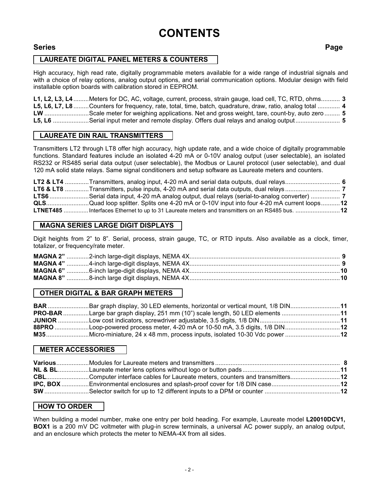# **CONTENTS**

# **Series Page**

# LAUREATE DIGITAL PANEL METERS & COUNTERS

High accuracy, high read rate, digitally programmable meters available for a wide range of industrial signals and with a choice of relay options, analog output options, and serial communication options. Modular design with field installable option boards with calibration stored in EEPROM.

**L1, L2, L3, L4** .........Meters for DC, AC, voltage, current, process, strain gauge, load cell, TC, RTD, ohms........... **3 L5, L6, L7, L8** .........Counters for frequency, rate, total, time, batch, quadrature, draw, ratio, analog total ............. **4 LW** ..........................Scale meter for weighing applications. Net and gross weight, tare, count-by, auto zero ......... **5 L5, L6** .....................Serial input meter and remote display. Offers dual relays and analog output.......................... **5** 

# **LAUREATE DIN RAIL TRANSMITTERS**

Transmitters LT2 through LT8 offer high accuracy, high update rate, and a wide choice of digitally programmable functions. Standard features include an isolated 4-20 mA or 0-10V analog output (user selectable), an isolated RS232 or RS485 serial data output (user selectable), the Modbus or Laurel protocol (user selectable), and dual 120 mA solid state relays. Same signal conditioners and setup software as Laureate meters and counters.

**LT2 & LT4** ..............Transmitters, analog input, 4-20 mA and serial data outputs, dual relays................................ **6 LT6 & LT8** ..............Transmitters, pulse inputs, 4-20 mA and serial data outputs, dual relays ................................ **7 LTS6** .......................Serial data input, 4-20 mA analog output, dual relays (serial-to-analog converter) ................. **7 QLS**.........................Quad loop splitter. Splits one 4-20 mA or 0-10V input into four 4-20 mA current loops...........**12 LTNET485** ............... Interfaces Ethernet to up to 31 Laureate meters and transmitters on an RS485 bus. ..........................**12** 

# **MAGNA SERIES LARGE DIGIT DISPLAYS\_\_**

Digit heights from 2" to 8". Serial, process, strain gauge, TC, or RTD inputs. Also available as a clock, timer, totalizer, or frequency/rate meter.

# **OTHER DIGITAL & BAR GRAPH METERS**

| <b>BAR</b> Bar graph display, 30 LED elements, horizontal or vertical mount, 1/8 DIN11 |  |
|----------------------------------------------------------------------------------------|--|
| <b>PRO-BAR</b> Large bar graph display, 251 mm (10") scale length, 50 LED elements 11  |  |
|                                                                                        |  |
| 88PRO Loop-powered process meter, 4-20 mA or 10-50 mA, 3.5 digits, 1/8 DIN12           |  |
|                                                                                        |  |

# **METER ACCESSORIES\_\_\_**

| CBLComputer interface cables for Laureate meters, counters and transmitters12 |  |
|-------------------------------------------------------------------------------|--|
|                                                                               |  |
|                                                                               |  |

# **HOW TO ORDER\_\_\_**

When building a model number, make one entry per bold heading. For example, Laureate model **L20010DCV1, BOX1** is a 200 mV DC voltmeter with plug-in screw terminals, a universal AC power supply, an analog output, and an enclosure which protects the meter to NEMA-4X from all sides.

- 2 -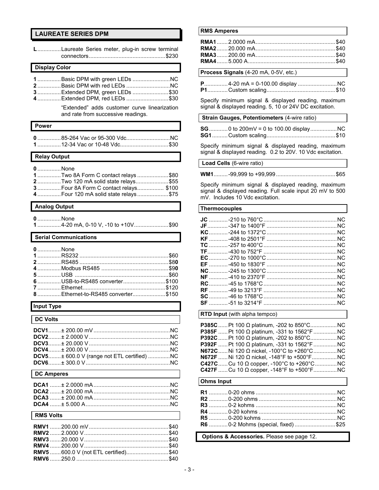# **LAUREATE SERIES DPM**

| LLaureate Series meter, plug-in screw terminal                                                                                                                                                                        |
|-----------------------------------------------------------------------------------------------------------------------------------------------------------------------------------------------------------------------|
| <b>Display Color</b>                                                                                                                                                                                                  |
| 1Basic DPM with green LEDs NC<br>2Basic DPM with red LEDs NC<br>3Extended DPM, green LEDs \$30<br>4 Extended DPM, red LEDs \$30<br>"Extended" adds customer curve linearization<br>and rate from successive readings. |
| <b>Power</b>                                                                                                                                                                                                          |
| 085-264 Vac or 95-300 VdcNC<br>1 12-34 Vac or 10-48 Vdc\$30                                                                                                                                                           |
| <b>Relay Output</b>                                                                                                                                                                                                   |
| <b>0</b> None<br>1Two 8A Form C contact relays\$80<br>2Two 120 mA solid state relays\$55<br>3 Four 8A Form C contact relays \$100<br>4 Four 120 mA solid state relays\$75                                             |
| <b>Analog Output</b>                                                                                                                                                                                                  |
| <b>0</b> None<br>14-20 mA, 0-10 V, -10 to +10V\$90                                                                                                                                                                    |
| <b>Serial Communications</b>                                                                                                                                                                                          |
| 0 None<br>6 USB-to-RS485 converter \$100<br>Ethernet-to-RS485 converter\$150                                                                                                                                          |
| <b>Input Type</b>                                                                                                                                                                                                     |
| <b>DC Volts</b>                                                                                                                                                                                                       |
| DCV5± 600.0 V (range not ETL certified) NC                                                                                                                                                                            |
| <b>DC Amperes</b>                                                                                                                                                                                                     |
|                                                                                                                                                                                                                       |
| <b>RMS Volts</b>                                                                                                                                                                                                      |
| RMV5 600.0 V (not ETL certified)\$40                                                                                                                                                                                  |

#### **RMS Amperes**

**Process Signals** (4-20 mA, 0-5V, etc.)

Specify minimum signal & displayed reading, maximum signal & displayed reading. 5, 10 or 24V DC excitation.

#### **Strain Gauges, Potentiometers** (4-wire ratio)

Specify minimum signal & displayed reading, maximum signal & displayed reading. 0.2 to 20V. 10 Vdc excitation.

 **Load Cells** (6-wire ratio)

**WM1**.........-99,999 to +99,999......................................\$65

Specify minimum signal & displayed reading, maximum signal & displayed reading. Full scale input 20 mV to 500 mV. Includes 10 Vdc excitation.

#### **Thermocouples**

#### **RTD Input** (with alpha tempco)

| <b>P385F</b> Pt 100 $\Omega$ platinum, -331 to 1562°F  NC |  |
|-----------------------------------------------------------|--|
|                                                           |  |
| <b>P392F</b> Pt 100 $\Omega$ platinum, -331 to 1562°F  NC |  |
| <b>N672C</b> Ni 120 Ω nickel, -100°C to +260°C  NC        |  |
|                                                           |  |
| <b>C427C</b> Cu 10 $\Omega$ copper, -100°C to +260°C  NC  |  |
| <b>C427F</b> Cu 10 $\Omega$ copper, -148°F to +500°F  NC  |  |

#### **Ohms Input**

| R6  0-2 Mohms (special, fixed) \$25 |  |
|-------------------------------------|--|

 **Options & Accessories.** Please see page 12.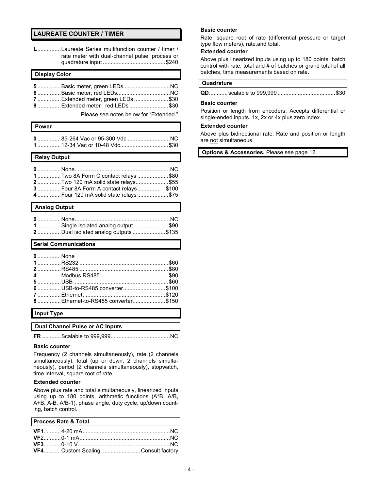# **LAUREATE COUNTER / TIMER**

**L**...............Laureate Series multifunction counter / timer / rate meter with dual-channel pulse, process or quadrature input ........................................\$240

| <b>Display Color</b> |                                 |  |  |
|----------------------|---------------------------------|--|--|
|                      | 7Extended meter, green LEDs\$30 |  |  |
|                      |                                 |  |  |

Please see notes below for "Extended."

| l Power                     |  |
|-----------------------------|--|
|                             |  |
| 112-34 Vac or 10-48 Vdc\$30 |  |

 **Relay Output** 

| 1Two 8A Form C contact relays\$80    |  |
|--------------------------------------|--|
| 2Two 120 mA solid state relays\$55   |  |
|                                      |  |
| 4 Four 120 mA solid state relays\$75 |  |

#### **Analog Output**

| 1Single isolated analog output \$90 |  |
|-------------------------------------|--|
| 2Dual isolated analog outputs\$135  |  |

#### **Serial Communications**

| 0None |                                   |  |
|-------|-----------------------------------|--|
|       |                                   |  |
|       |                                   |  |
|       |                                   |  |
|       |                                   |  |
|       | 6USB-to-RS485 converter\$100      |  |
|       |                                   |  |
|       | 8Ethernet-to-RS485 converter\$150 |  |
|       | $I = \frac{1}{2}$                 |  |

#### **Input Type**

 **Dual Channel Pulse or AC Inputs** 

**FR** ............Scalable to 999,999......................................NC

#### **Basic counter**

Frequency (2 channels simultaneously), rate (2 channels simultaneously), total (up or down, 2 channels simultaneously), period (2 channels simultaneously), stopwatch, time interval, square root of rate.

#### **Extended counter**

Above plus rate and total simultaneously, linearized inputs using up to 180 points, arithmetic functions (A\*B, A/B, A+B, A-B, A/B-1), phase angle, duty cycle, up/down counting, batch control.

| Process Rate & Total              |  |
|-----------------------------------|--|
|                                   |  |
|                                   |  |
|                                   |  |
| VF4Custom Scaling Consult factory |  |

#### **Basic counter**

Rate, square root of rate (differential pressure or target type flow meters), rate.and total.

#### **Extended counter**

Above plus linearized inputs using up to 180 points, batch control with rate, total and # of batches or grand total of all batches, time measurements based on rate.

#### **Quadrature**

|--|--|--|

#### **Basic counter**

Position or length from encoders. Accepts differential or single-ended inputs. 1x, 2x or 4x plus zero index.

#### **Extended counter**

Above plus bidirectional rate. Rate and position or length are not simultaneous.

 **Options & Accessories.** Please see page 12.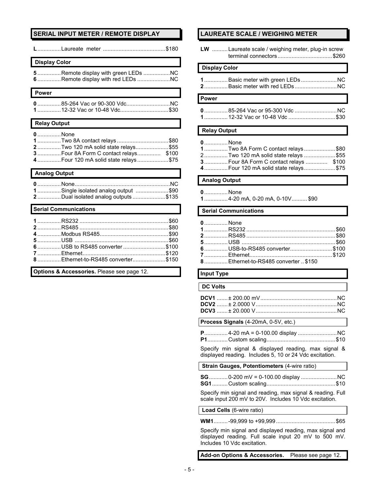# **SERIAL INPUT METER / REMOTE DISPLAY**

|--|--|

#### **Display Color**

| 5Remote display with green LEDs |  |
|---------------------------------|--|
|                                 |  |

#### **Power**

| 112-32 Vac or 10-48 Vdc\$30 |  |
|-----------------------------|--|

#### **Relay Output**

| 0None                                |  |
|--------------------------------------|--|
| 1Two 8A contact relays\$80           |  |
| 2Two 120 mA solid state relays\$55   |  |
|                                      |  |
| 4 Four 120 mA solid state relays\$75 |  |
|                                      |  |

## **Analog Output**

| 1Single isolated analog output \$90 |  |
|-------------------------------------|--|
| 2Dual isolated analog outputs\$135  |  |

#### **Serial Communications**

**Options & Accessories.** Please see page 12.

# **LAUREATE SCALE / WEIGHING METER**

|                      | LW Laureate scale / weighing meter, plug-in screw                                                                                                           |
|----------------------|-------------------------------------------------------------------------------------------------------------------------------------------------------------|
| <b>Display Color</b> |                                                                                                                                                             |
|                      | 2 Basic meter with red LEDsNC                                                                                                                               |
| <b>Power</b>         |                                                                                                                                                             |
|                      | 085-264 Vac or 95-300 Vdc NC<br>1 12-32 Vac or 10-48 Vdc \$30                                                                                               |
| <b>Relay Output</b>  |                                                                                                                                                             |
|                      |                                                                                                                                                             |
| 0None                | 1Two 8A Form C contact relays\$80<br>2Two 120 mA solid state relays \$55<br>3 Four 8A Form C contact relays  \$100<br>4 Four 120 mA solid state relays \$75 |
| <b>Analog Output</b> |                                                                                                                                                             |
| 0None                | 14-20 mA, 0-20 mA, 0-10V\$90                                                                                                                                |
|                      | <b>Serial Communications</b>                                                                                                                                |

| 6USB-to-RS485 converter\$100         |
|--------------------------------------|
|                                      |
| 8 Ethernet-to-RS485 converter  \$150 |
|                                      |

# **Input Type**

#### **DC Volts**

**Process Signals** (4-20mA, 0-5V, etc.)

Specify min signal & displayed reading, max signal & displayed reading. Includes 5, 10 or 24 Vdc excitation.

 **Strain Gauges, Potentiometers** (4-wire ratio)

Specify min signal and reading, max signal & reading. Full scale input 200 mV to 20V. Includes 10 Vdc excitation.

#### **Load Cells** (6-wire ratio)

**WM1**.........-99,999 to +99,999......................................\$65

Specify min signal and displayed reading, max signal and displayed reading. Full scale input 20 mV to 500 mV. Includes 10 Vdc excitation.

**Add-on Options & Accessories.** Please see page 12.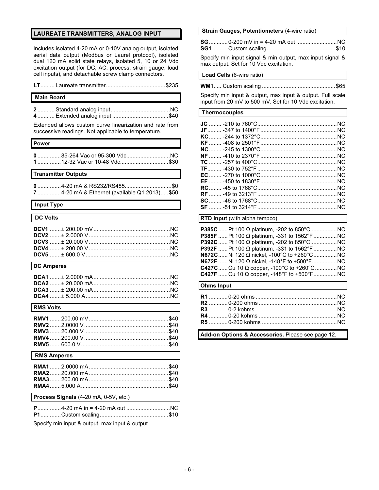#### **LAUREATE TRANSMITTERS, ANALOG INPUT**

Includes isolated 4-20 mA or 0-10V analog output, isolated serial data output (Modbus or Laurel protocol), isolated dual 120 mA solid state relays, isolated 5, 10 or 24 Vdc excitation output (for DC, AC, process, strain gauge, load cell inputs), and detachable screw clamp connectors.

**LT**......... Laureate transmitter......................................\$235

#### **Main Board**

| 4 Extended analog input \$40 |  |
|------------------------------|--|

Extended allows custom curve linearization and rate from successive readings. Not applicable to temperature.

#### **Power**

| 112-32 Vac or 10-48 Vdc\$30 |  |
|-----------------------------|--|

#### **Transmitter Outputs**

| 74-20 mA & Ethernet (available Q1 2013)\$50 |  |
|---------------------------------------------|--|

# **Input Type**

| <b>DC Volts</b><br><u> 1989 - John Stein, Amerikaansk politiker (</u> † 1920) |  |
|-------------------------------------------------------------------------------|--|
|                                                                               |  |
|                                                                               |  |

#### **DC Amperes**

#### **RMS Volts**

#### **RMS Amperes**

| <u> 1988 - An t-Amerikaanse kommunister († 1988)</u> |  |
|------------------------------------------------------|--|

**Process Signals** (4-20 mA, 0-5V, etc.)

Specify min input & output, max input & output.

#### **Strain Gauges, Potentiometers** (4-wire ratio)

| <b>SG</b> 0-200 mV in = 4-20 mA out NC |  |
|----------------------------------------|--|
|                                        |  |

Specify min input signal & min output, max input signal & max output. Set for 10 Vdc excitation.

#### **Load Cells** (6-wire ratio)

|--|--|--|

Specify min input & output, max input & output. Full scale input from 20 mV to 500 mV. Set for 10 Vdc excitation.

#### **Thermocouples**

#### **RTD Input** (with alpha tempco)

**P385C**......Pt 100 Ω platinum, -202 to 850°C.................NC **P385F** ......Pt 100 Ω platinum, -331 to 1562°F...............NC **P392C**......Pt 100 Ω platinum, -202 to 850°C.................NC **P392F** ......Pt 100 Ω platinum, -331 to 1562°F...............NC **N672C**......Ni 120 Ω nickel, -100°C to +260°C...............NC **N672F** ......Ni 120 Ω nickel, -148°F to +500°F................NC **C427C**......Cu 10 Ω copper, -100°C to +260°C..............NC **C427F** ...... Cu 10 Ω copper, -148°F to +500°F.................NC

#### **Ohms Input**

**Add-on Options & Accessories.** Please see page 12.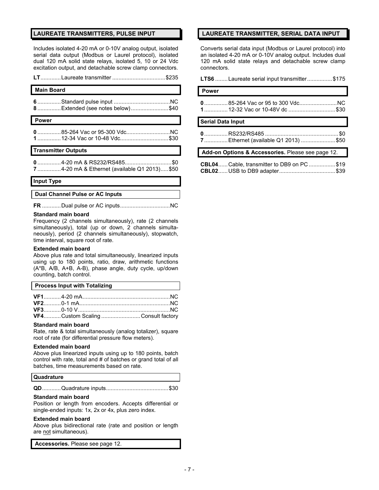#### **LAUREATE TRANSMITTERS, PULSE INPUT**

Includes isolated 4-20 mA or 0-10V analog output, isolated serial data output (Modbus or Laurel protocol), isolated dual 120 mA solid state relays, isolated 5, 10 or 24 Vdc excitation output, and detachable screw clamp connectors.

| <b>Main Board</b>                                          |  |  |
|------------------------------------------------------------|--|--|
| 8 Extended (see notes below) \$40                          |  |  |
| <b>Power</b>                                               |  |  |
| 085-264 Vac or 95-300 VdcNC<br>112-34 Vac or 10-48 Vdc\$30 |  |  |
| <b>Transmitter Outputs</b>                                 |  |  |
|                                                            |  |  |

**0** ...............4-20 mA & RS232/RS485..............................\$0 **7** ...............4-20 mA & Ethernet (available Q1 2013).....\$50

#### **Input Type**

#### **Dual Channel Pulse or AC Inputs**

**FR** ............Dual pulse or AC inputs................................NC

#### **Standard main board**

Frequency (2 channels simultaneously), rate (2 channels simultaneously), total (up or down, 2 channels simultaneously), period (2 channels simultaneously), stopwatch, time interval, square root of rate.

#### **Extended main board**

Above plus rate and total simultaneously, linearized inputs using up to 180 points, ratio, draw, arithmetic functions (A\*B, A/B, A+B, A-B), phase angle, duty cycle, up/down counting, batch control.

| <b>Process Input with Totalizing</b> |  |
|--------------------------------------|--|
|--------------------------------------|--|

| VF4Custom Scaling Consult factory |  |
|-----------------------------------|--|

#### **Standard main board**

Rate, rate & total simultaneously (analog totalizer), square root of rate (for differential pressure flow meters).

#### **Extended main board**

Above plus linearized inputs using up to 180 points, batch control with rate, total and # of batches or grand total of all batches, time measurements based on rate.

#### **Quadrature**

|--|--|--|

#### **Standard main board**

Position or length from encoders. Accepts differential or single-ended inputs: 1x, 2x or 4x, plus zero index.

#### **Extended main board**

Above plus bidirectional rate (rate and position or length are not simultaneous).

 **Accessories.** Please see page 12.

#### **LAUREATE TRANSMITTER, SERIAL DATA INPUT**

Converts serial data input (Modbus or Laurel protocol) into an isolated 4-20 mA or 0-10V analog output. Includes dual 120 mA solid state relays and detachable screw clamp connectors.

#### **LTS6** ........Laureate serial input transmitter................\$175

# **Power**

| 1 12-32 Vac or 10-48V dc \$30 |  |
|-------------------------------|--|

#### **Serial Data Input**

| 7 Ethernet (available Q1 2013) \$50 |  |
|-------------------------------------|--|

#### **Add-on Options & Accessories.** Please see page 12.

| <b>CBL04 Cable, transmitter to DB9 on PC \$19</b> |  |
|---------------------------------------------------|--|
|                                                   |  |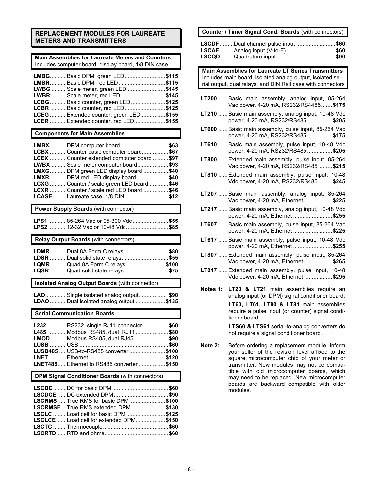# **REPLACEMENT MODULES FOR LAUREATE METERS AND TRANSMITTERS**

#### **Main Assemblies for Laureate Meters and Counters**  Includes computer board, display board, 1/8 DIN case.

| <b>LMBG Basic DPM, green LED\$115</b>      |  |
|--------------------------------------------|--|
| LMBR Basic DPM, red LED\$115               |  |
| LWBG  Scale meter, green LED\$145          |  |
| <b>LWBR:  Scale meter, red LED\$145</b>    |  |
| <b>LCBG</b> Basic counter, green LED\$125  |  |
| <b>LCBR</b> Basic counter, red LED \$125   |  |
| LCEG  Extended counter, green LED\$155     |  |
| <b>LCER</b> Extended counter, red LED\$155 |  |

#### **Components for Main Assemblies**

| LMBX DPM computer board\$63                    |  |
|------------------------------------------------|--|
| <b>LCBX</b> Counter basic computer board\$67   |  |
| LCEX  Counter extended computer board \$97     |  |
| <b>LWBX</b> Scale meter computer board\$93     |  |
| <b>LMXG</b> DPM green LED display board \$40   |  |
| LMXR  DPM red LED display board \$40           |  |
| LCXG  Counter / scale green LED board  \$46    |  |
| <b>LCXR</b> Counter / scale red LED board \$46 |  |
| <b>LCASE</b> Laureate case, 1/8 DIN \$12       |  |

#### **Power Supply Boards** (with connector)

| LPS1  85-264 Vac or 95-300 Vdc\$55 |  |
|------------------------------------|--|
| LPS2  12-32 Vac or 10-48 Vdc. \$85 |  |

 **Relay Output Boards** (with connectors)

| LDMR Dual 8A Form C relays\$80     |  |
|------------------------------------|--|
| LDSR  Dual solid state relays\$55  |  |
| LQMR Quad 8A Form C relays\$100    |  |
| LQSR  Quad solid state relays \$75 |  |

#### **Isolated Analog Output Boards** (with connector)

| LAO Single isolated analog output\$90   |  |
|-----------------------------------------|--|
| LDAO  Dual isolated analog output \$135 |  |

#### **Serial Communication Boards**

| L232 RS232, single RJ11 connector \$60           |  |
|--------------------------------------------------|--|
| L485  Modbus RS485, dual RJ11 \$80               |  |
| LMOD Modbus RS485, dual RJ45 \$90                |  |
|                                                  |  |
| LUSB485 , USB-to-RS485 converter \$100           |  |
|                                                  |  |
| <b>LNET485 Ethernet to RS485 converter \$150</b> |  |

#### **DPM Signal Conditioner Boards** (with connectors)

| <b>LSCRMS</b> True RMS for basic DPM \$100 |  |
|--------------------------------------------|--|
| LSCRMSE True RMS extended DPM\$130         |  |
| LSCLC  Load cell for basic DPM \$125       |  |
| LSCLCE Load cell for extended DPM\$150     |  |
|                                            |  |
|                                            |  |

# **Counter / Timer Signal Cond. Boards** (with connectors) **LSCDF**.........Dual channel pulse input .........................**\$60 LSCAF** .........Analog input (V-to-F) ...............................**\$60 LSCQD** ........Quadrature input......................................**\$90**

 **Main Assemblies for Laureate LT Series Transmitters**  Includes main board, isolated analog output, isolated se rial output, dual relays, and DIN Rail case with connectors

- **LT200** ......Basic main assembly, analog input, 85-264 Vac power, 4-20 mA, RS232/RS4485.......**\$175**
- **LT210** ......Basic main assembly, analog input, 10-48 Vdc power, 4-20 mA, RS232/RS485 ................**\$205**
- **LT600** ......Basic main assembly, pulse input, 85-264 Vac power, 4-20 mA, RS232/RS485 ................**\$175**
- **LT610** ......Basic main assembly, pulse input, 10-48 Vdc power, 4-20 mA, RS232/RS485 ................**\$205**
- **LT800** ......Extended main assembly, pulse input, 85-264 Vac power, 4-20 mA, RS232/RS485.........**\$215**
- **LT810** ......Extended main assembly, pulse input, 10-48 Vdc power, 4-20 mA, RS232/RS485.........**\$245**
- **LT207** ......Basic main assembly, analog input, 85-264 Vac power, 4-20 mA, Ethernet ..................**\$225**
- **LT217** ......Basic main assembly, analog input, 10-48 Vdc power, 4-20 mA, Ethernet .........................**\$255**
- **LT607** ......Basic main assembly, pulse input, 85-264 Vac power, 4-20 mA, Ethernet .........................**\$225**
- **LT617** ......Basic main assembly, pulse input, 10-48 Vdc power, 4-20 mA, Ethernet .........................**\$255**
- **LT807** ......Extended main assembly, pulse input, 85-264 Vac power, 4-20 mA, Ethernet ..................**\$265**
- **LT817** ......Extended main assembly, pulse input, 10-48 Vdc power, 4-20 mA, Ethernet ..................**\$295**
- **Notes 1: LT20 & LT21** main assemblies require an analog input (or DPM) signal conditioner board. **LT60, LT61, LT80 & LT81** main assemblies require a pulse input (or counter) signal conditioner board.

**LTS60 & LTS61** serial-to-analog converters do not require a signal conditioner board.

**Note 2:** Before ordering a replacement module, inform your seller of the revision level affixed to the square microcomputer chip of your meter or transmitter. New modules may not be compatible with old microcomputer boards, which may need to be replaced. New microcomputer boards are backward compatible with older modules.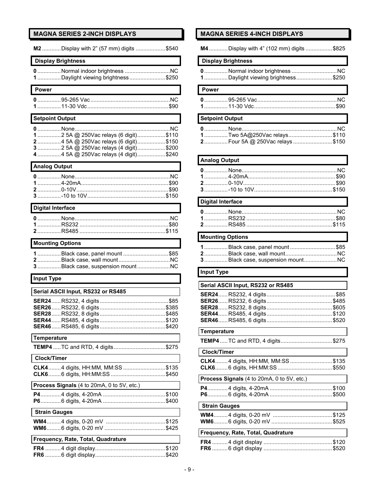# **MAGNA SERIES 2-INCH DISPLAYS**

| M2 Display with 2" (57 mm) digits \$540                                       |
|-------------------------------------------------------------------------------|
| <b>Display Brightness</b>                                                     |
| 0Normal indoor brightnessNC                                                   |
| 1Daylight viewing brightness\$250                                             |
| <b>Power</b>                                                                  |
|                                                                               |
|                                                                               |
| <b>Setpoint Output</b>                                                        |
|                                                                               |
| 12 5A @ 250Vac relays (6 digit)\$110                                          |
| 24 5A @ 250Vac relays (6 digit)\$150<br>3 2 5A @ 250Vac relays (4 digit)\$200 |
| 4 4 5A @ 250Vac relays (4 digit)\$240                                         |
| <b>Analog Output</b>                                                          |
|                                                                               |
|                                                                               |
|                                                                               |
|                                                                               |
| <b>Digital Interface</b>                                                      |
|                                                                               |
|                                                                               |
|                                                                               |
| <b>Mounting Options</b>                                                       |
| 1Black case, panel mount \$85                                                 |
|                                                                               |
|                                                                               |
| 3Black case, suspension mountNC                                               |
| <b>Input Type</b>                                                             |
| Serial ASCII Input, RS232 or RS485                                            |
|                                                                               |
|                                                                               |
|                                                                               |
|                                                                               |
|                                                                               |
| <b>Temperature</b><br><b>TEMP4</b> TC and RTD, 4 digits \$275                 |
| <b>Clock/Timer</b>                                                            |
|                                                                               |
| CLK44 digits, HH:MM, MM:SS\$135                                               |
| Process Signals (4 to 20mA, 0 to 5V, etc.)                                    |
|                                                                               |
|                                                                               |
| <b>Strain Gauges</b>                                                          |
|                                                                               |
|                                                                               |
| Frequency, Rate, Total, Quadrature                                            |

# **MAGNA SERIES 4-INCH DISPLAYS**

**M4**............Display with 4" (102 mm) digits .................\$825

# **Display Brightness**

| 1Daylight viewing brightness\$250 |  |
|-----------------------------------|--|

# **Power 0**...............95-265 Vac...................................................NC **1**...............11-30 Vdc....................................................\$90

#### **Setpoint Output**

| 1Two 5A@250Vac relays\$110     |  |
|--------------------------------|--|
| 2 Four 5A @ 250Vac relays\$150 |  |

# **Analog Output**

#### **Digital Interface**

# **Mounting Options**

| 1Black case, panel mount\$85      |  |
|-----------------------------------|--|
|                                   |  |
| 3 Black case, suspension mount NC |  |

# **Input Type**

| Serial ASCII Input, RS232 or RS485         |  |
|--------------------------------------------|--|
|                                            |  |
|                                            |  |
|                                            |  |
| <b>Temperature</b>                         |  |
| TEMP4  TC and RTD, 4 digits \$275          |  |
| Clock/Timer                                |  |
| <b>CLK4</b> 4 digits, HH:MM, MM:SS\$135    |  |
| Process Signals (4 to 20mA, 0 to 5V, etc.) |  |
|                                            |  |
| <b>Strain Gauges</b>                       |  |
|                                            |  |
| Frequency, Rate, Total, Quadrature         |  |
|                                            |  |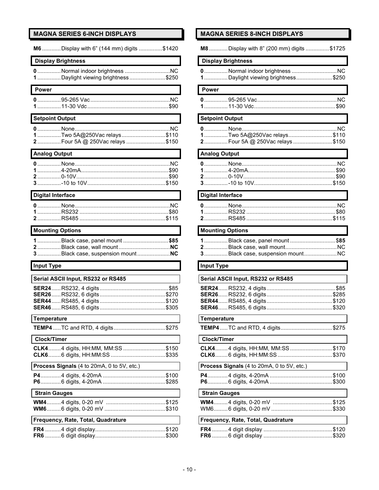# **MAGNA SERIES 6-INCH DISPLAYS**

| M6 Display with 6" (144 mm) digits \$1420                          |
|--------------------------------------------------------------------|
| <b>Display Brightness</b>                                          |
| 0 Normal indoor brightness NC<br>1Daylight viewing brightness\$250 |
| Power                                                              |
|                                                                    |
| <b>Setpoint Output</b>                                             |
| 1Two 5A@250Vac relays\$110<br>2Four 5A @ 250Vac relays\$150        |
| <b>Analog Output</b>                                               |
|                                                                    |
| <b>Digital Interface</b>                                           |
|                                                                    |
| <b>Mounting Options</b>                                            |
|                                                                    |
| 1 Black case, panel mount \$85                                     |
| <b>Input Type</b>                                                  |
| Serial ASCII Input, RS232 or RS485                                 |
|                                                                    |
| <b>Temperature</b>                                                 |
| TEMP4  TC and RTD, 4 digits \$275                                  |
| <b>Clock/Timer</b>                                                 |
| CLK44 digits, HH:MM, MM:SS \$150                                   |
| Process Signals (4 to 20mA, 0 to 5V, etc.)                         |
|                                                                    |
| <b>Strain Gauges</b>                                               |
|                                                                    |
| Frequency, Rate, Total, Quadrature                                 |

# **MAGNA SERIES 8-INCH DISPLAYS**

**M8**............Display with 8" (200 mm) digits ...............\$1725

# **Display Brightness**

| 1Daylight viewing brightness\$250 |  |
|-----------------------------------|--|

# **Power**

| <b>0</b> 95-265 Vac……………………………………………NC |
|----------------------------------------|
|                                        |

#### **Setpoint Output**

| 1Two 5A@250Vac relays\$110     |  |
|--------------------------------|--|
| 2 Four 5A @ 250Vac relays\$150 |  |

# **Analog Output**

# **Digital Interface**

# **Mounting Options**

| 1 Black case, panel mount \$85    |  |
|-----------------------------------|--|
|                                   |  |
| 3 Black case, suspension mount NC |  |

# **Input Type**

| Serial ASCII Input, RS232 or RS485         |
|--------------------------------------------|
|                                            |
| Temperature                                |
| <b>TEMP4</b> TC and RTD, 4 digits \$275    |
| <b>Clock/Timer</b>                         |
| CLK44 digits, HH:MM, MM:SS\$170            |
| Process Signals (4 to 20mA, 0 to 5V, etc.) |
|                                            |
| <b>Strain Gauges</b>                       |
|                                            |
| Frequency, Rate, Total, Quadrature         |
|                                            |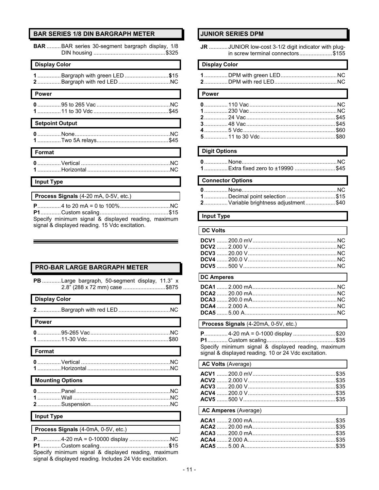# **BAR SERIES 1/8 DIN BARGRAPH METER**

| <b>BAR</b> BAR series 30-segment bargraph display, 1/8                                                |
|-------------------------------------------------------------------------------------------------------|
| <b>Display Color</b>                                                                                  |
| 1Bargraph with green LED\$15                                                                          |
| Power                                                                                                 |
|                                                                                                       |
| <b>Setpoint Output</b>                                                                                |
|                                                                                                       |
| Format                                                                                                |
|                                                                                                       |
| <b>Input Type</b>                                                                                     |
|                                                                                                       |
| Process Signals (4-20 mA, 0-5V, etc.)                                                                 |
| Specify minimum signal & displayed reading, maximum<br>signal & displayed reading. 15 Vdc excitation. |

# **PRO-BAR LARGE BARGRAPH METER**

| PB Large bargraph, 50-segment display, 11.3" x<br>2.8" (288 x 72 mm) case \$875                                                      |
|--------------------------------------------------------------------------------------------------------------------------------------|
| <b>Display Color</b>                                                                                                                 |
|                                                                                                                                      |
| <b>Power</b>                                                                                                                         |
|                                                                                                                                      |
| Format                                                                                                                               |
|                                                                                                                                      |
| <b>Mounting Options</b>                                                                                                              |
|                                                                                                                                      |
| <b>Input Type</b>                                                                                                                    |
| Process Signals (4-0mA, 0-5V, etc.)                                                                                                  |
| P4-20 mA = 0-10000 display NC<br>$A -$<br>$\mathbf{B}$ $\mathbf{A}$ $\mathbf{A}$ $\mathbf{A}$ $\mathbf{A}$ $\mathbf{A}$ $\mathbf{A}$ |

Specify minimum signal & displayed reading, maximum signal & displayed reading. Includes 24 Vdc excitation.

#### **JUNIOR SERIES DPM**

| JR JUNIOR low-cost 3-1/2 digit indicator with plug- |
|-----------------------------------------------------|
| in screw terminal connectors\$155                   |

#### **Display Color**

# Power

# **Digit Options**

| Fxtra fixed zero to +19990 |  |
|----------------------------|--|
|                            |  |

# **Connector Options**

| 1Decimal point selection \$15        |  |
|--------------------------------------|--|
| 2 Variable brightness adjustment\$40 |  |

### **Input Type**

 $\mathsf{l}$ 

| <b>DC Volts</b> |  |
|-----------------|--|
|                 |  |
|                 |  |
|                 |  |
|                 |  |
|                 |  |
|                 |  |

# **DC Amperes**

#### Process Signals (4-20mA, 0-5V, etc.)

| P4-20 mA = 0-1000 display \$20                       |  |
|------------------------------------------------------|--|
|                                                      |  |
| Specify minimum signal & displayed reading, maximum  |  |
| signal & displayed reading. 10 or 24 Vdc excitation. |  |

| <b>AC Volts (Average)</b>   |  |
|-----------------------------|--|
|                             |  |
|                             |  |
|                             |  |
|                             |  |
|                             |  |
| <b>AC Amperes (Average)</b> |  |
|                             |  |
|                             |  |
|                             |  |
|                             |  |
|                             |  |
|                             |  |